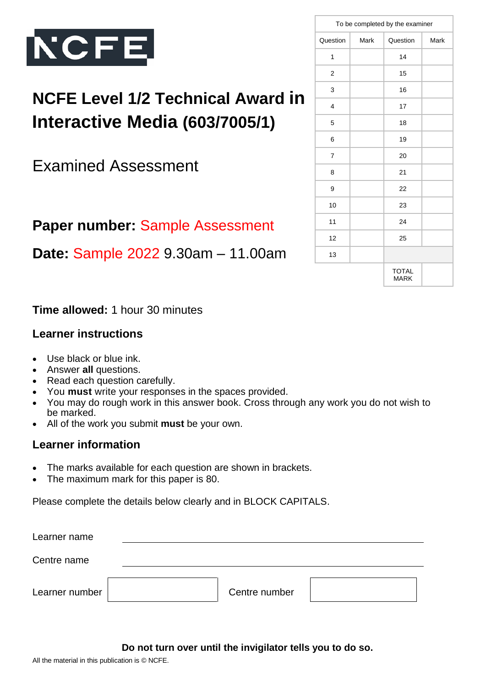

# **NCFE Level 1/2 Technical Award in Interactive Media (603/7005/1)**

Examined Assessment

### **Paper number:** Sample Assessment

**Date:** Sample 2022 9.30am – 11.00am

|                |      | To be completed by the examiner |      |
|----------------|------|---------------------------------|------|
| Question       | Mark | Question                        | Mark |
| 1              |      | 14                              |      |
| $\overline{2}$ |      | 15                              |      |
| 3              |      | 16                              |      |
| $\overline{4}$ |      | 17                              |      |
| 5              |      | 18                              |      |
| 6              |      | 19                              |      |
| $\overline{7}$ |      | 20                              |      |
| 8              |      | 21                              |      |
| 9              |      | 22                              |      |
| 10             |      | 23                              |      |
| 11             |      | 24                              |      |
| 12             |      | 25                              |      |
| 13             |      |                                 |      |
|                |      | <b>TOTAL</b><br><b>MARK</b>     |      |

**Time allowed:** 1 hour 30 minutes

#### **Learner instructions**

- Use black or blue ink.
- Answer **all** questions.
- Read each question carefully.
- You **must** write your responses in the spaces provided.
- You may do rough work in this answer book. Cross through any work you do not wish to be marked.
- All of the work you submit **must** be your own.

#### **Learner information**

- The marks available for each question are shown in brackets.
- The maximum mark for this paper is 80.

Please complete the details below clearly and in BLOCK CAPITALS.

| Learner name   |               |  |
|----------------|---------------|--|
| Centre name    |               |  |
| Learner number | Centre number |  |

#### **Do not turn over until the invigilator tells you to do so.**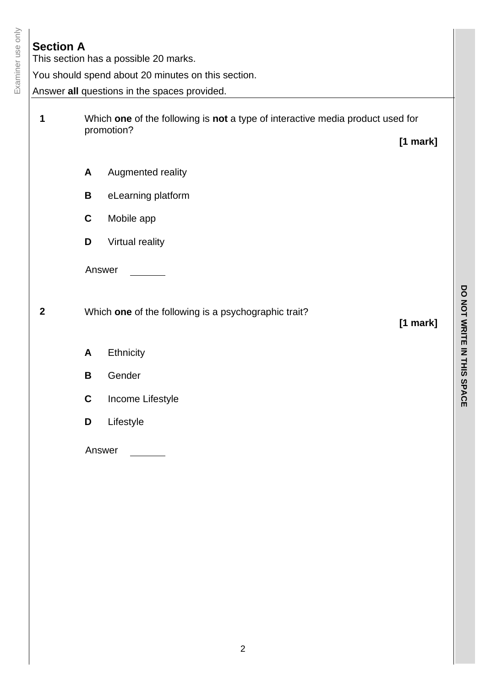### **Section A**

Examiner use only Examiner use only

This section has a possible 20 marks.

You should spend about 20 minutes on this section.

Answer **all** questions in the spaces provided.

| 1            |             | Which one of the following is not a type of interactive media product used for<br>promotion? |            |
|--------------|-------------|----------------------------------------------------------------------------------------------|------------|
|              |             |                                                                                              | $[1$ mark] |
|              | A           | Augmented reality                                                                            |            |
|              | В           | eLearning platform                                                                           |            |
|              | $\mathbf C$ | Mobile app                                                                                   |            |
|              | D           | Virtual reality                                                                              |            |
|              |             | Answer                                                                                       |            |
| $\mathbf{2}$ |             | Which one of the following is a psychographic trait?                                         | $[1$ mark] |
|              | A           | Ethnicity                                                                                    |            |
|              | В           | Gender                                                                                       |            |
|              | $\mathbf C$ | Income Lifestyle                                                                             |            |
|              | D           | Lifestyle                                                                                    |            |
|              | Answer      |                                                                                              |            |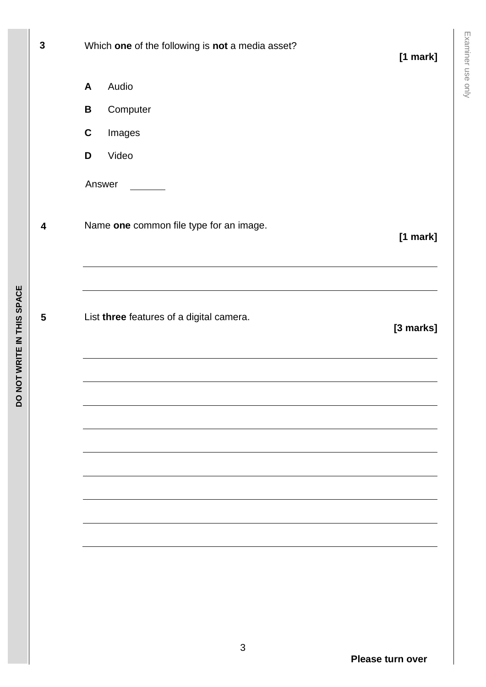| $\mathbf 3$ | Which one of the following is not a media asset? | $[1$ mark] |
|-------------|--------------------------------------------------|------------|
|             | Audio<br>A                                       |            |
|             | Computer<br>B                                    |            |
|             | $\mathbf c$<br>Images                            |            |
|             | Video<br>D                                       |            |
|             | Answer                                           |            |
| 4           | Name one common file type for an image.          | $[1$ mark] |
| 5           | List three features of a digital camera.         |            |
|             |                                                  | [3 marks]  |
|             |                                                  |            |
|             |                                                  |            |
|             |                                                  |            |
|             |                                                  |            |
|             |                                                  |            |
|             |                                                  |            |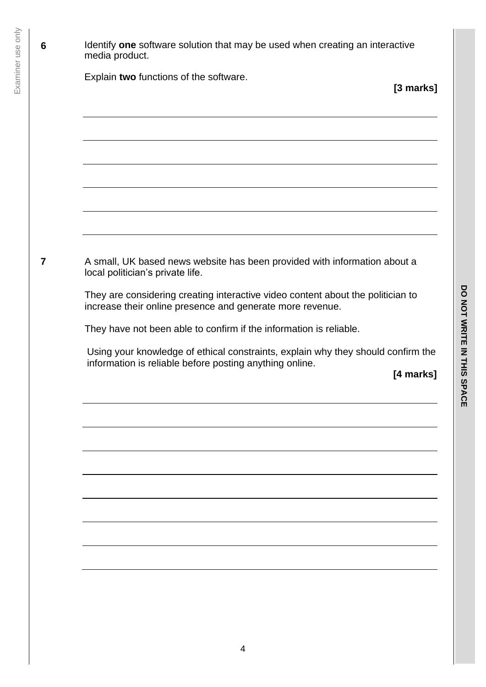**6** Identify **one** software solution that may be used when creating an interactive media product. Explain **two** functions of the software. **[3 marks] 7** A small, UK based news website has been provided with information about a local politician's private life. They are considering creating interactive video content about the politician to increase their online presence and generate more revenue. They have not been able to confirm if the information is reliable. Using your knowledge of ethical constraints, explain why they should confirm the information is reliable before posting anything online. **[4 marks]**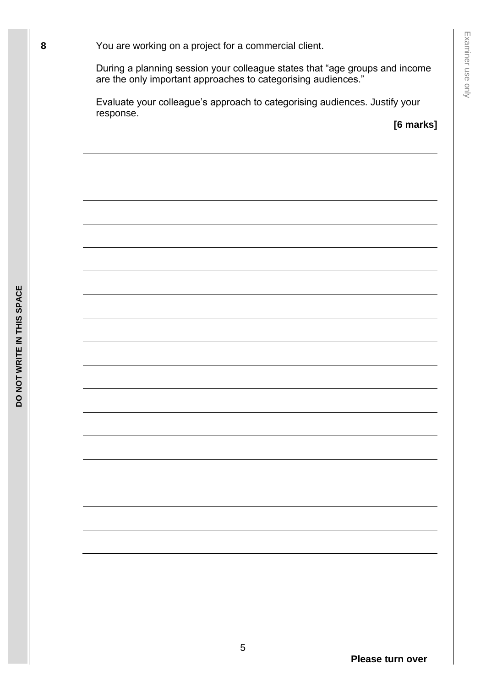**8** You are working on a project for a commercial client.

During a planning session your colleague states that "age groups and income are the only important approaches to categorising audiences."

Evaluate your colleague's approach to categorising audiences. Justify your response.

**[6 marks]**

 **Please turn over**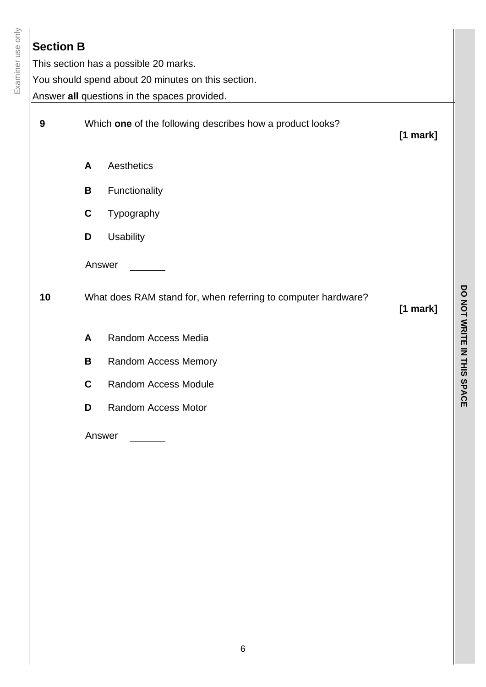### **Section B**

This section has a possible 20 marks. You should spend about 20 minutes on this section. Answer **all** questions in the spaces provided.

**9** Which **one** of the following describes how a product looks?

**[1 mark]**

- **A** Aesthetics
- **B** Functionality
- **C** Typography
- **D** Usability

Answer

**10** What does RAM stand for, when referring to computer hardware?

#### **[1 mark]**

- **A** Random Access Media
- **B** Random Access Memory
- **C** Random Access Module
- **D** Random Access Motor

Answer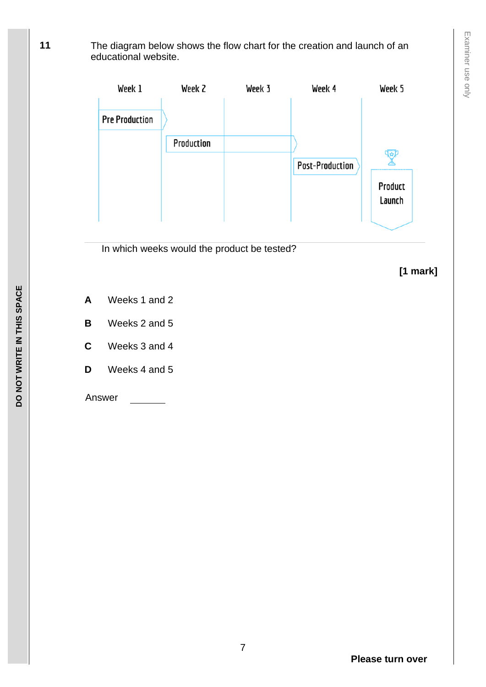**11** The diagram below shows the flow chart for the creation and launch of an educational website.

| Week 5                 |
|------------------------|
|                        |
| 5                      |
|                        |
| Product<br>Launch      |
|                        |
| <b>Post-Production</b> |

In which weeks would the product be tested?

**[1 mark]**

- **A** Weeks 1 and 2
- **B** Weeks 2 and 5
- **C** Weeks 3 and 4
- **D** Weeks 4 and 5

Answer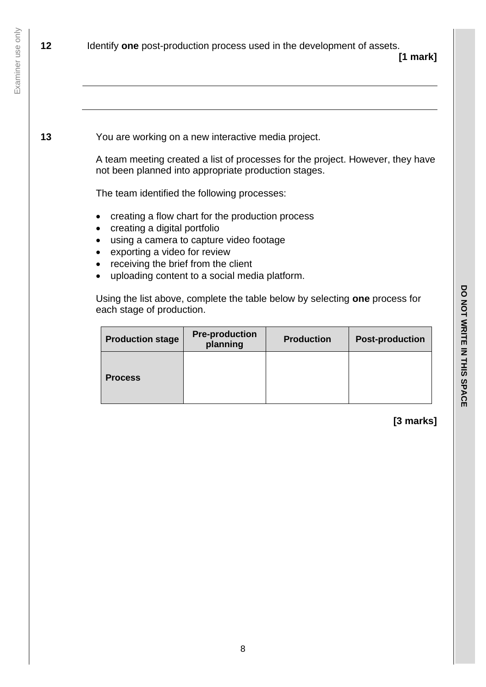#### **[1 mark]**

**13** You are working on a new interactive media project.

A team meeting created a list of processes for the project. However, they have not been planned into appropriate production stages.

The team identified the following processes:

- creating a flow chart for the production process
- creating a digital portfolio
- using a camera to capture video footage
- exporting a video for review
- receiving the brief from the client
- uploading content to a social media platform.

Using the list above, complete the table below by selecting **one** process for each stage of production.

| <b>Production stage</b> | <b>Pre-production</b><br>planning | <b>Production</b> | <b>Post-production</b> |
|-------------------------|-----------------------------------|-------------------|------------------------|
| <b>Process</b>          |                                   |                   |                        |

**[3 marks]**

**DO NOT WRITE IN**

DO NOT WRITE IN THIS SPACE

**THIS SPACE**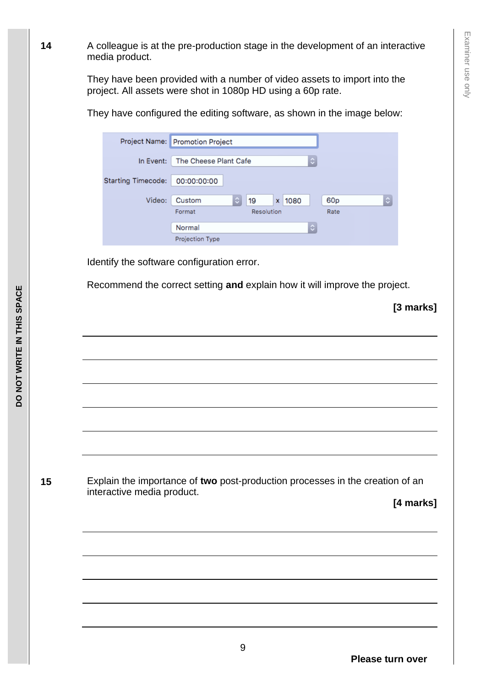**14** A colleague is at the pre-production stage in the development of an interactive media product.

> They have been provided with a number of video assets to import into the project. All assets were shot in 1080p HD using a 60p rate.

> They have configured the editing software, as shown in the image below:

|                           | Project Name: Promotion Project |            |    |      |   |                 |                    |
|---------------------------|---------------------------------|------------|----|------|---|-----------------|--------------------|
| In Event:                 | The Cheese Plant Cafe           |            |    |      | ٥ |                 |                    |
| <b>Starting Timecode:</b> | 00:00:00:00                     |            |    |      |   |                 |                    |
| Video:                    | Ğ<br>Custom                     | 19         | X. | 1080 |   | 60 <sub>p</sub> | $\hat{\mathbf{c}}$ |
|                           | Format                          | Resolution |    |      |   | Rate            |                    |
|                           | Normal                          |            |    |      | ٥ |                 |                    |
|                           | Projection Type                 |            |    |      |   |                 |                    |

Identify the software configuration error.

Recommend the correct setting **and** explain how it will improve the project.

**[3 marks] 15** Explain the importance of **two** post-production processes in the creation of an interactive media product. **[4 marks]**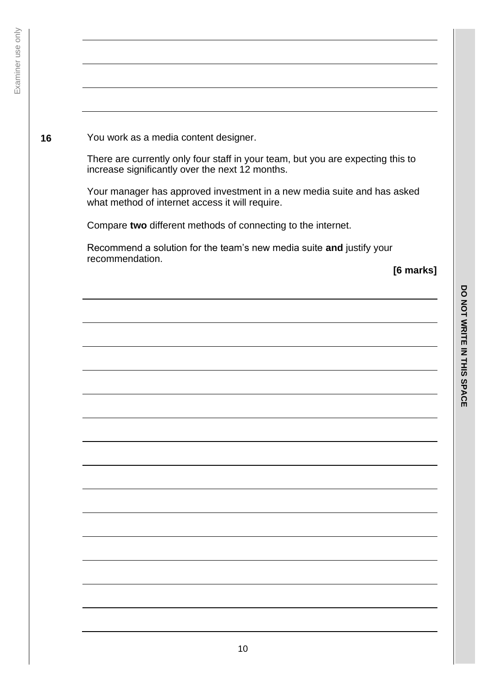|                 | You work as a media content designer.                        |                                                                                 |
|-----------------|--------------------------------------------------------------|---------------------------------------------------------------------------------|
|                 | increase significantly over the next 12 months.              | There are currently only four staff in your team, but you are expecting this to |
|                 | what method of internet access it will require.              | Your manager has approved investment in a new media suite and has asked         |
|                 | Compare two different methods of connecting to the internet. |                                                                                 |
| recommendation. |                                                              | Recommend a solution for the team's new media suite and justify your            |
|                 |                                                              | [6 marks]                                                                       |
|                 |                                                              |                                                                                 |
|                 |                                                              |                                                                                 |
|                 |                                                              |                                                                                 |
|                 |                                                              |                                                                                 |
|                 |                                                              |                                                                                 |
|                 |                                                              |                                                                                 |
|                 |                                                              |                                                                                 |
|                 |                                                              |                                                                                 |
|                 |                                                              |                                                                                 |
|                 |                                                              |                                                                                 |
|                 |                                                              |                                                                                 |
|                 |                                                              |                                                                                 |
|                 |                                                              |                                                                                 |
|                 |                                                              |                                                                                 |
|                 |                                                              |                                                                                 |
|                 |                                                              |                                                                                 |
|                 |                                                              |                                                                                 |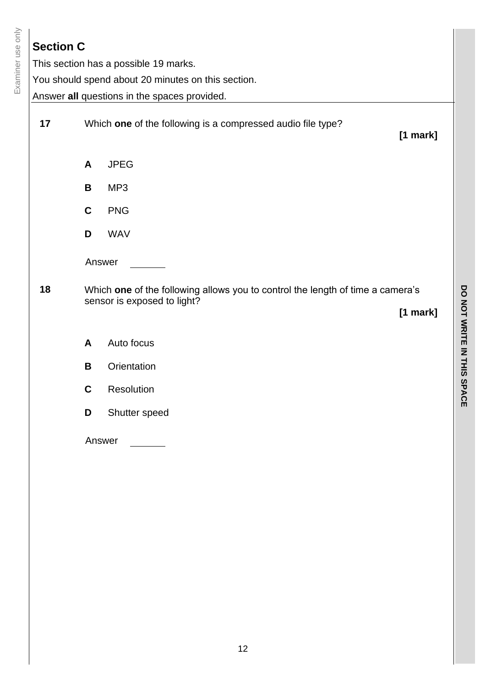### **Section C**

This section has a possible 19 marks. You should spend about 20 minutes on this section. Answer **all** questions in the spaces provided.

**17** Which **one** of the following is a compressed audio file type? **[1 mark] A** JPEG **B** MP3 **C** PNG **D** WAV Answer **18** Which **one** of the following allows you to control the length of time a camera's sensor is exposed to light? **[1 mark] A** Auto focus **B** Orientation **C** Resolution **D** Shutter speed Answer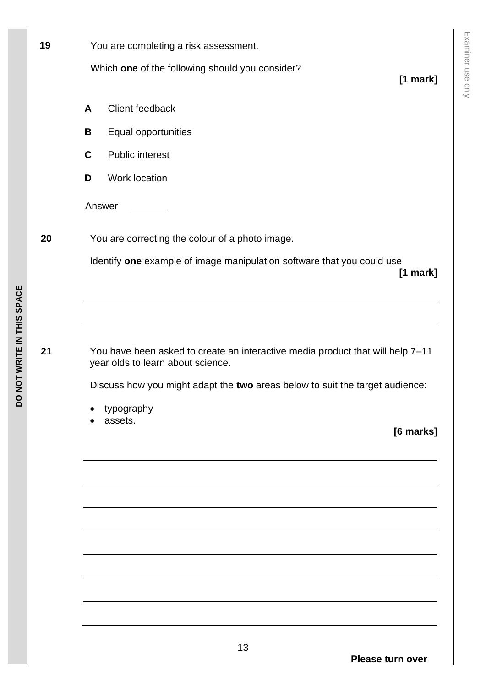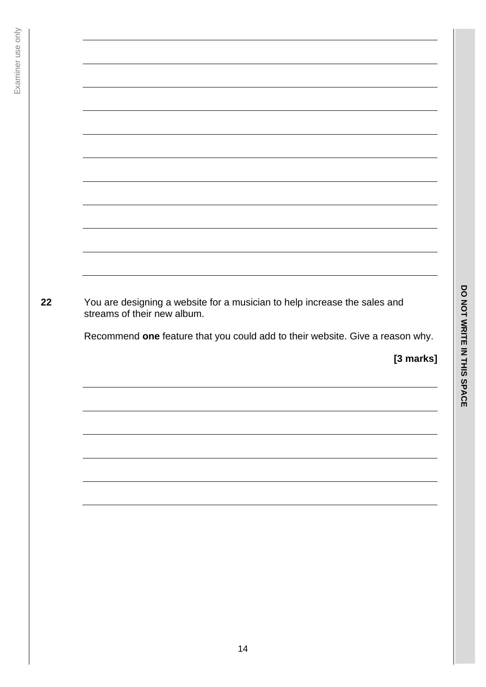| You are designing a website for a musician to help increase the sales and<br>streams of their new album. |
|----------------------------------------------------------------------------------------------------------|
|                                                                                                          |
|                                                                                                          |
|                                                                                                          |
|                                                                                                          |
|                                                                                                          |
|                                                                                                          |
|                                                                                                          |
|                                                                                                          |
|                                                                                                          |
|                                                                                                          |
|                                                                                                          |
|                                                                                                          |
|                                                                                                          |
|                                                                                                          |
|                                                                                                          |
|                                                                                                          |
|                                                                                                          |
|                                                                                                          |
| Recommend one feature that you could add to their website. Give a reason why.<br>[3 marks]               |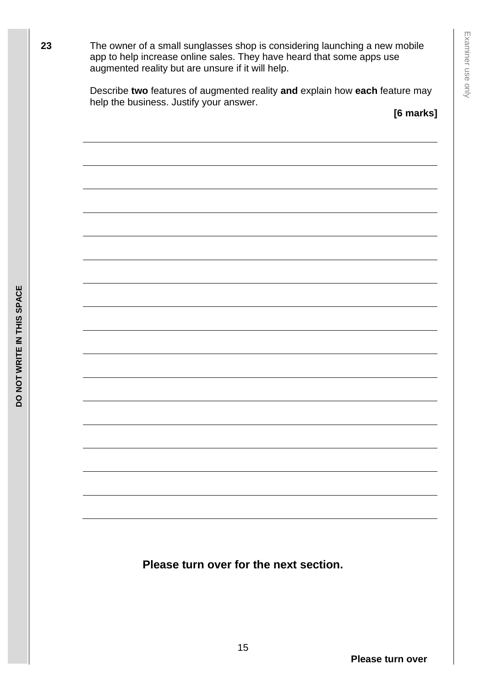**23** The owner of a small sunglasses shop is considering launching a new mobile app to help increase online sales. They have heard that some apps use augmented reality but are unsure if it will help.

> Describe **two** features of augmented reality **and** explain how **each** feature may help the business. Justify your answer.

**[6 marks]**

**Please turn over for the next section.**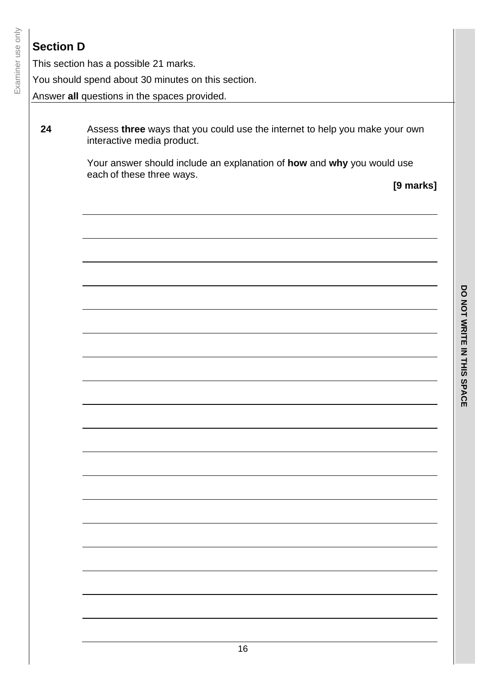## **Section D**

Examiner use only Examiner use only

| This section has a possible 21 marks.              |  |
|----------------------------------------------------|--|
| You should spend about 30 minutes on this section. |  |

Answer **all** questions in the spaces provided.

**24** Assess **three** ways that you could use the internet to help you make your own interactive media product.

> Your answer should include an explanation of **how** and **why** you would use each of these three ways.

**[9 marks]**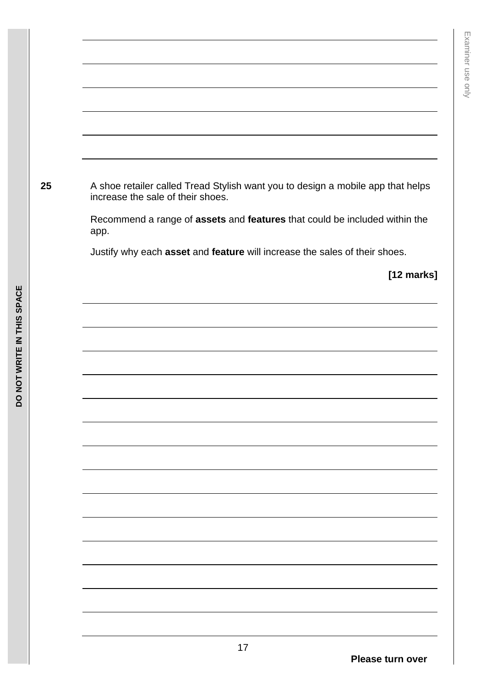**25** A shoe retailer called Tread Stylish want you to design a mobile app that helps increase the sale of their shoes.

> Recommend a range of **assets** and **features** that could be included within the app.

Justify why each **asset** and **feature** will increase the sales of their shoes.

**[12 marks]**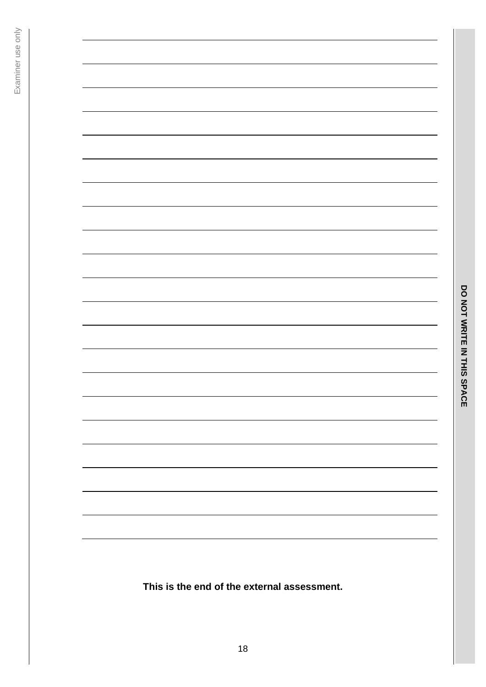**This is the end of the external assessment.**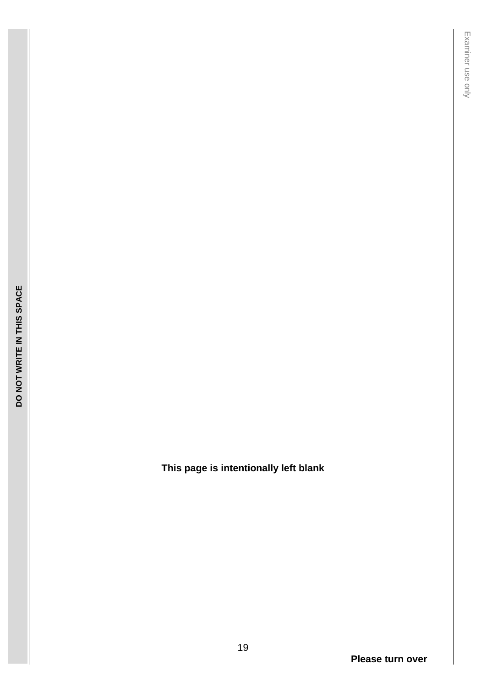**This page is intentionally left blank**